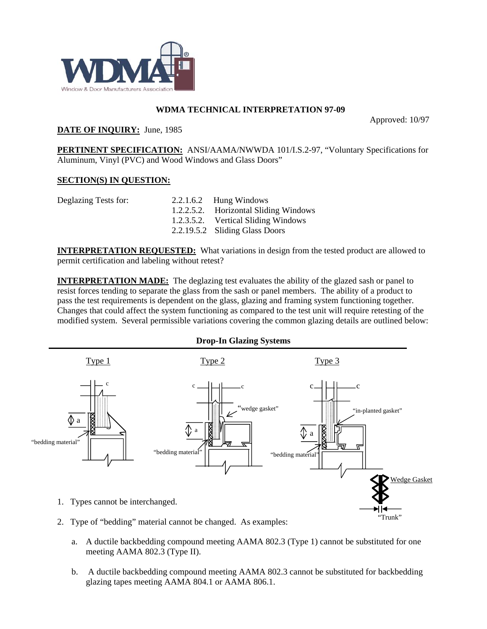

## **WDMA TECHNICAL INTERPRETATION 97-09**

Approved: 10/97

## **DATE OF INQUIRY:** June, 1985

**PERTINENT SPECIFICATION:** ANSI/AAMA/NWWDA 101/I.S.2-97, "Voluntary Specifications for Aluminum, Vinyl (PVC) and Wood Windows and Glass Doors"

## **SECTION(S) IN QUESTION:**

| $2.2.1.6.2$ Hung Windows              |
|---------------------------------------|
| 1.2.2.5.2. Horizontal Sliding Windows |
| 1.2.3.5.2. Vertical Sliding Windows   |
| 2.2.19.5.2 Sliding Glass Doors        |
|                                       |

**INTERPRETATION REQUESTED:** What variations in design from the tested product are allowed to permit certification and labeling without retest?

**INTERPRETATION MADE:** The deglazing test evaluates the ability of the glazed sash or panel to resist forces tending to separate the glass from the sash or panel members. The ability of a product to pass the test requirements is dependent on the glass, glazing and framing system functioning together. Changes that could affect the system functioning as compared to the test unit will require retesting of the modified system. Several permissible variations covering the common glazing details are outlined below:



**Drop-In Glazing Systems** 

- 2. Type of "bedding" material cannot be changed. As examples:
	- a. A ductile backbedding compound meeting AAMA 802.3 (Type 1) cannot be substituted for one meeting AAMA 802.3 (Type II).
	- b. A ductile backbedding compound meeting AAMA 802.3 cannot be substituted for backbedding glazing tapes meeting AAMA 804.1 or AAMA 806.1.